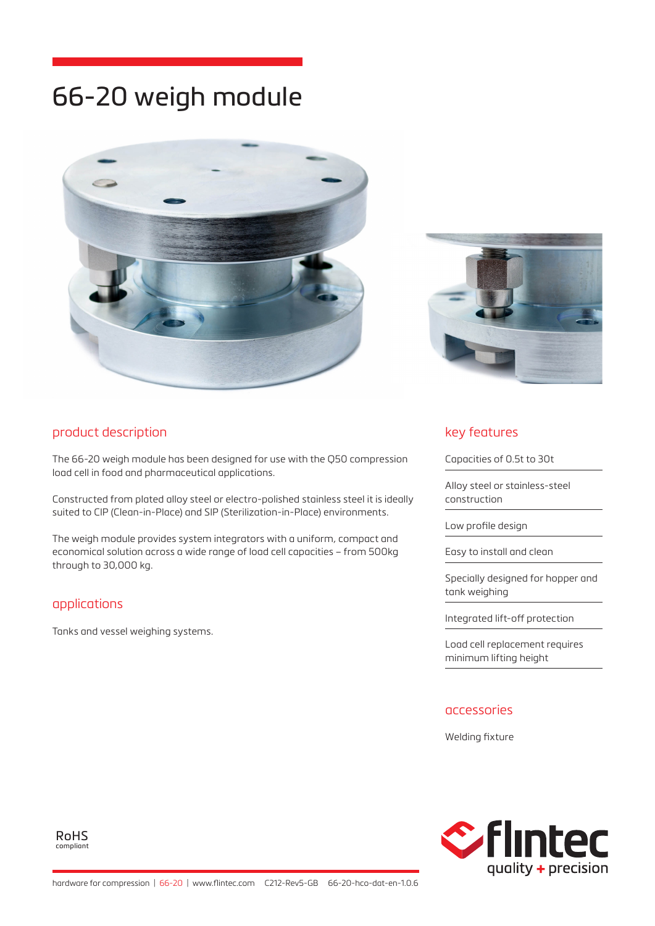# 66-20 weigh module





## product description

The 66-20 weigh module has been designed for use with the Q50 compression load cell in food and pharmaceutical applications.

Constructed from plated alloy steel or electro-polished stainless steel it is ideally suited to CIP (Clean-in-Place) and SIP (Sterilization-in-Place) environments.

The weigh module provides system integrators with a uniform, compact and economical solution across a wide range of load cell capacities – from 500kg through to 30,000 kg.

## applications

Tanks and vessel weighing systems.

## key features

Capacities of 0.5t to 30t

Alloy steel or stainless-steel construction

Low profile design

Easy to install and clean

Specially designed for hopper and tank weighing

Integrated lift-off protection

Load cell replacement requires minimum lifting height

#### accessories

Welding fixture